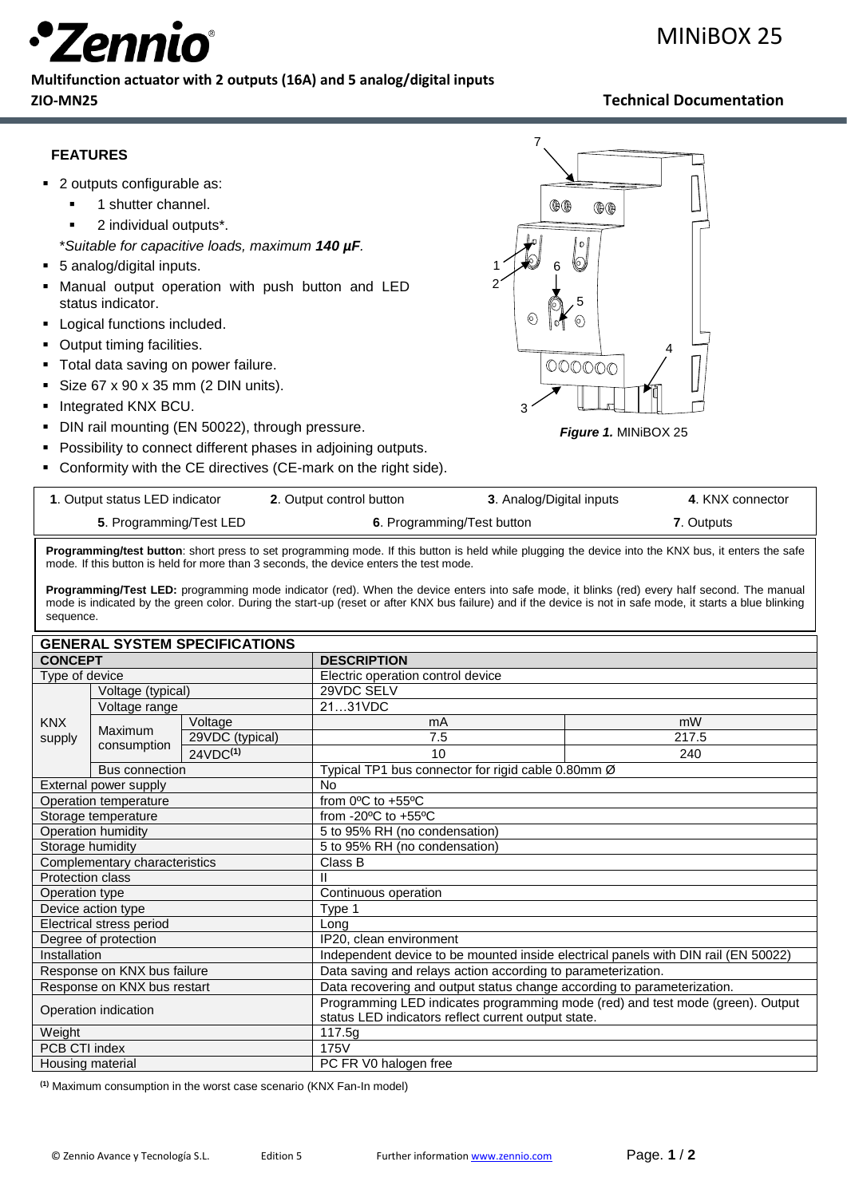

### **Multifunction actuator with 2 outputs (16A) and 5 analog/digital inputs ZIO-MN25 Technical Documentation**

## **FEATURES**

- 2 outputs configurable as:
	- 1 shutter channel.
	- 2 individual outputs<sup>\*</sup>.
	- \**Suitable for capacitive loads, maximum 140 µF.*
- 5 analog/digital inputs.
- **Manual output operation with push button and LED** status indicator.
- Logical functions included.
- Output timing facilities.
- **·** Total data saving on power failure.
- $\blacksquare$  Size 67 x 90 x 35 mm (2 DIN units).
- Integrated KNX BCU.
- **DIN rail mounting (EN 50022), through pressure.**
- Possibility to connect different phases in adjoining outputs.
- Conformity with the CE directives (CE-mark on the right side).



*Figure 1.* MINiBOX 25

| 1. Output status LED indicator | 2. Output control button   | 3. Analog/Digital inputs | 4. KNX connector |
|--------------------------------|----------------------------|--------------------------|------------------|
| 5. Programming/Test LED        | 6. Programming/Test button |                          | 7. Outputs       |

**Programming/test button**: short press to set programming mode. If this button is held while plugging the device into the KNX bus, it enters the safe mode. If this button is held for more than 3 seconds, the device enters the test mode.

**Programming/Test LED:** programming mode indicator (red). When the device enters into safe mode, it blinks (red) every half second. The manual mode is indicated by the green color. During the start-up (reset or after KNX bus failure) and if the device is not in safe mode, it starts a blue blinking sequence.

| <b>GENERAL SYSTEM SPECIFICATIONS</b> |                       |                      |                                                                                    |       |
|--------------------------------------|-----------------------|----------------------|------------------------------------------------------------------------------------|-------|
| <b>CONCEPT</b>                       |                       |                      | <b>DESCRIPTION</b>                                                                 |       |
| Type of device                       |                       |                      | Electric operation control device                                                  |       |
|                                      | Voltage (typical)     |                      | 29VDC SELV                                                                         |       |
|                                      | Voltage range         |                      | 2131VDC                                                                            |       |
| <b>KNX</b>                           | Maximum               | Voltage              | mA                                                                                 | mW    |
| supply                               | consumption           | 29VDC (typical)      | 7.5                                                                                | 217.5 |
|                                      |                       | 24VDC <sup>(1)</sup> | 10                                                                                 | 240   |
| <b>Bus connection</b>                |                       |                      | Typical TP1 bus connector for rigid cable 0.80mm Ø                                 |       |
|                                      | External power supply |                      | <b>No</b>                                                                          |       |
| Operation temperature                |                       |                      | from $0^{\circ}$ C to $+55^{\circ}$ C                                              |       |
| Storage temperature                  |                       |                      | from -20 $\mathrm{^{\circ}C}$ to +55 $\mathrm{^{\circ}C}$                          |       |
| Operation humidity                   |                       |                      | 5 to 95% RH (no condensation)                                                      |       |
| Storage humidity                     |                       |                      | 5 to 95% RH (no condensation)                                                      |       |
| Complementary characteristics        |                       |                      | Class B                                                                            |       |
| Protection class                     |                       |                      |                                                                                    |       |
| Operation type                       |                       |                      | Continuous operation                                                               |       |
| Device action type                   |                       |                      | Type 1                                                                             |       |
| Electrical stress period             |                       |                      | Lona                                                                               |       |
| Degree of protection                 |                       |                      | IP20, clean environment                                                            |       |
| Installation                         |                       |                      | Independent device to be mounted inside electrical panels with DIN rail (EN 50022) |       |
| Response on KNX bus failure          |                       |                      | Data saving and relays action according to parameterization.                       |       |
| Response on KNX bus restart          |                       |                      | Data recovering and output status change according to parameterization.            |       |
| Operation indication                 |                       |                      | Programming LED indicates programming mode (red) and test mode (green). Output     |       |
|                                      |                       |                      | status LED indicators reflect current output state.                                |       |
| Weight                               |                       |                      | 117.5g                                                                             |       |
| PCB CTI index                        |                       |                      | 175V                                                                               |       |
| Housing material                     |                       |                      | PC FR V0 halogen free                                                              |       |

**(1)** Maximum consumption in the worst case scenario (KNX Fan-In model)